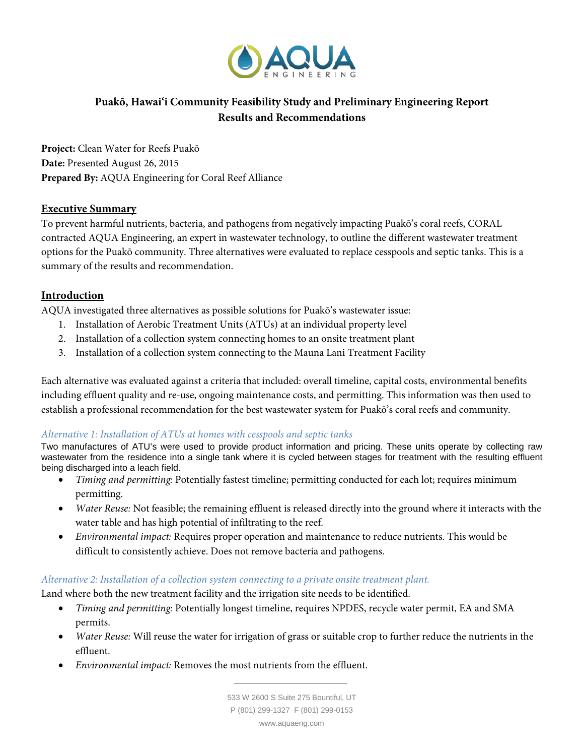

# **Puakō, Hawai'i Community Feasibility Study and Preliminary Engineering Report Results and Recommendations**

**Project:** Clean Water for Reefs Puakō **Date:** Presented August 26, 2015 **Prepared By:** AQUA Engineering for Coral Reef Alliance

### **Executive Summary**

To prevent harmful nutrients, bacteria, and pathogens from negatively impacting Puakō's coral reefs, CORAL contracted AQUA Engineering, an expert in wastewater technology, to outline the different wastewater treatment options for the Puakō community. Three alternatives were evaluated to replace cesspools and septic tanks. This is a summary of the results and recommendation.

# **Introduction**

AQUA investigated three alternatives as possible solutions for Puakō's wastewater issue:

- 1. Installation of Aerobic Treatment Units (ATUs) at an individual property level
- 2. Installation of a collection system connecting homes to an onsite treatment plant
- 3. Installation of a collection system connecting to the Mauna Lani Treatment Facility

Each alternative was evaluated against a criteria that included: overall timeline, capital costs, environmental benefits including effluent quality and re-use, ongoing maintenance costs, and permitting. This information was then used to establish a professional recommendation for the best wastewater system for Puakō's coral reefs and community.

### *Alternative 1: Installation of ATUs at homes with cesspools and septic tanks*

Two manufactures of ATU's were used to provide product information and pricing. These units operate by collecting raw wastewater from the residence into a single tank where it is cycled between stages for treatment with the resulting effluent being discharged into a leach field.

- *Timing and permitting:* Potentially fastest timeline; permitting conducted for each lot; requires minimum permitting.
- *Water Reuse:* Not feasible; the remaining effluent is released directly into the ground where it interacts with the water table and has high potential of infiltrating to the reef.
- *Environmental impact:* Requires proper operation and maintenance to reduce nutrients*.* This would be difficult to consistently achieve. Does not remove bacteria and pathogens.

### *Alternative 2: Installation of a collection system connecting to a private onsite treatment plant.*

Land where both the new treatment facility and the irrigation site needs to be identified.

- *Timing and permitting:* Potentially longest timeline, requires NPDES, recycle water permit, EA and SMA permits.
- *Water Reuse:* Will reuse the water for irrigation of grass or suitable crop to further reduce the nutrients in the effluent.
- *Environmental impact:* Removes the most nutrients from the effluent.